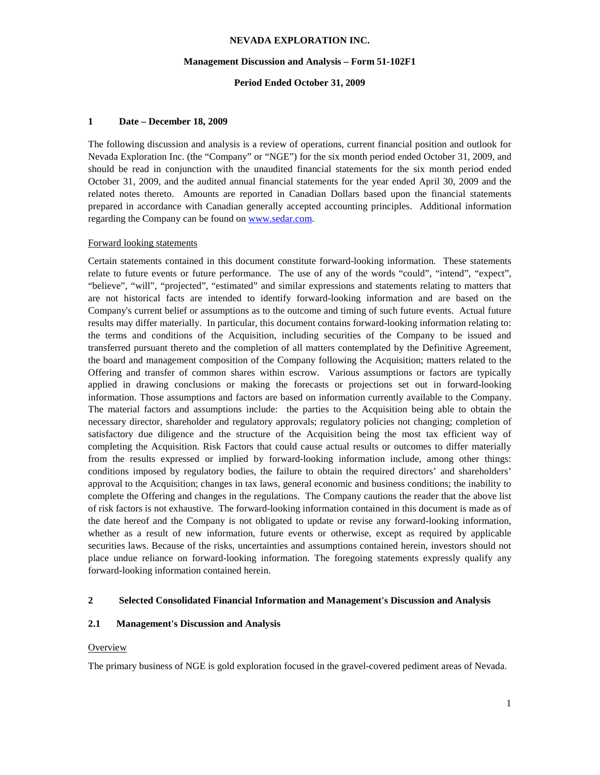#### **Management Discussion and Analysis – Form 51-102F1**

#### **Period Ended October 31, 2009**

#### **1 Date – December 18, 2009**

The following discussion and analysis is a review of operations, current financial position and outlook for Nevada Exploration Inc. (the "Company" or "NGE") for the six month period ended October 31, 2009, and should be read in conjunction with the unaudited financial statements for the six month period ended October 31, 2009, and the audited annual financial statements for the year ended April 30, 2009 and the related notes thereto. Amounts are reported in Canadian Dollars based upon the financial statements prepared in accordance with Canadian generally accepted accounting principles. Additional information regarding the Company can be found on www.sedar.com.

## Forward looking statements

Certain statements contained in this document constitute forward-looking information. These statements relate to future events or future performance. The use of any of the words "could", "intend", "expect", "believe", "will", "projected", "estimated" and similar expressions and statements relating to matters that are not historical facts are intended to identify forward-looking information and are based on the Company's current belief or assumptions as to the outcome and timing of such future events. Actual future results may differ materially. In particular, this document contains forward-looking information relating to: the terms and conditions of the Acquisition, including securities of the Company to be issued and transferred pursuant thereto and the completion of all matters contemplated by the Definitive Agreement, the board and management composition of the Company following the Acquisition; matters related to the Offering and transfer of common shares within escrow. Various assumptions or factors are typically applied in drawing conclusions or making the forecasts or projections set out in forward-looking information. Those assumptions and factors are based on information currently available to the Company. The material factors and assumptions include: the parties to the Acquisition being able to obtain the necessary director, shareholder and regulatory approvals; regulatory policies not changing; completion of satisfactory due diligence and the structure of the Acquisition being the most tax efficient way of completing the Acquisition. Risk Factors that could cause actual results or outcomes to differ materially from the results expressed or implied by forward-looking information include, among other things: conditions imposed by regulatory bodies, the failure to obtain the required directors' and shareholders' approval to the Acquisition; changes in tax laws, general economic and business conditions; the inability to complete the Offering and changes in the regulations. The Company cautions the reader that the above list of risk factors is not exhaustive. The forward-looking information contained in this document is made as of the date hereof and the Company is not obligated to update or revise any forward-looking information, whether as a result of new information, future events or otherwise, except as required by applicable securities laws. Because of the risks, uncertainties and assumptions contained herein, investors should not place undue reliance on forward-looking information. The foregoing statements expressly qualify any forward-looking information contained herein.

# **2 Selected Consolidated Financial Information and Management's Discussion and Analysis**

# **2.1 Management's Discussion and Analysis**

#### Overview

The primary business of NGE is gold exploration focused in the gravel-covered pediment areas of Nevada.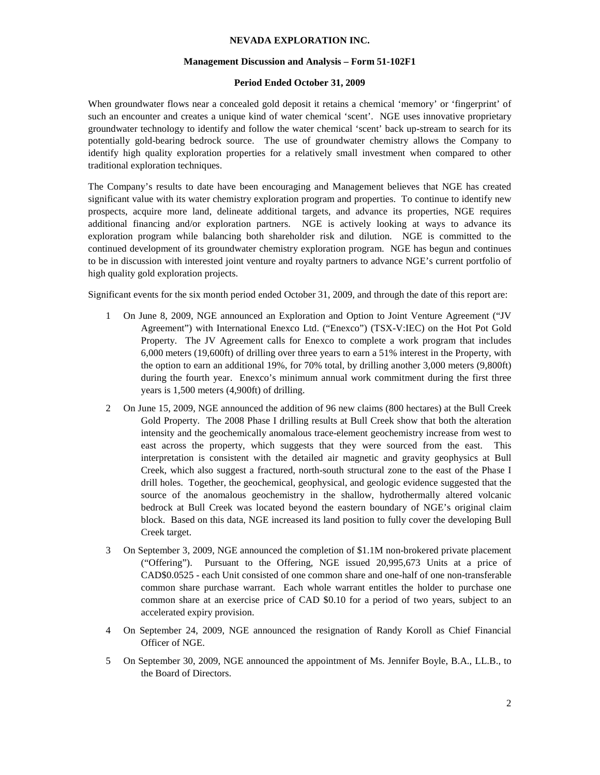#### **Management Discussion and Analysis – Form 51-102F1**

#### **Period Ended October 31, 2009**

When groundwater flows near a concealed gold deposit it retains a chemical 'memory' or 'fingerprint' of such an encounter and creates a unique kind of water chemical 'scent'. NGE uses innovative proprietary groundwater technology to identify and follow the water chemical 'scent' back up-stream to search for its potentially gold-bearing bedrock source. The use of groundwater chemistry allows the Company to identify high quality exploration properties for a relatively small investment when compared to other traditional exploration techniques.

The Company's results to date have been encouraging and Management believes that NGE has created significant value with its water chemistry exploration program and properties. To continue to identify new prospects, acquire more land, delineate additional targets, and advance its properties, NGE requires additional financing and/or exploration partners. NGE is actively looking at ways to advance its exploration program while balancing both shareholder risk and dilution. NGE is committed to the continued development of its groundwater chemistry exploration program. NGE has begun and continues to be in discussion with interested joint venture and royalty partners to advance NGE's current portfolio of high quality gold exploration projects.

Significant events for the six month period ended October 31, 2009, and through the date of this report are:

- 1 On June 8, 2009, NGE announced an Exploration and Option to Joint Venture Agreement ("JV Agreement") with International Enexco Ltd. ("Enexco") (TSX-V:IEC) on the Hot Pot Gold Property. The JV Agreement calls for Enexco to complete a work program that includes 6,000 meters (19,600ft) of drilling over three years to earn a 51% interest in the Property, with the option to earn an additional 19%, for 70% total, by drilling another 3,000 meters (9,800ft) during the fourth year. Enexco's minimum annual work commitment during the first three years is 1,500 meters (4,900ft) of drilling.
- 2 On June 15, 2009, NGE announced the addition of 96 new claims (800 hectares) at the Bull Creek Gold Property. The 2008 Phase I drilling results at Bull Creek show that both the alteration intensity and the geochemically anomalous trace-element geochemistry increase from west to east across the property, which suggests that they were sourced from the east. This interpretation is consistent with the detailed air magnetic and gravity geophysics at Bull Creek, which also suggest a fractured, north-south structural zone to the east of the Phase I drill holes. Together, the geochemical, geophysical, and geologic evidence suggested that the source of the anomalous geochemistry in the shallow, hydrothermally altered volcanic bedrock at Bull Creek was located beyond the eastern boundary of NGE's original claim block. Based on this data, NGE increased its land position to fully cover the developing Bull Creek target.
- 3 On September 3, 2009, NGE announced the completion of \$1.1M non-brokered private placement ("Offering"). Pursuant to the Offering, NGE issued 20,995,673 Units at a price of CAD\$0.0525 - each Unit consisted of one common share and one-half of one non-transferable common share purchase warrant. Each whole warrant entitles the holder to purchase one common share at an exercise price of CAD \$0.10 for a period of two years, subject to an accelerated expiry provision.
- 4 On September 24, 2009, NGE announced the resignation of Randy Koroll as Chief Financial Officer of NGE.
- 5 On September 30, 2009, NGE announced the appointment of Ms. Jennifer Boyle, B.A., LL.B., to the Board of Directors.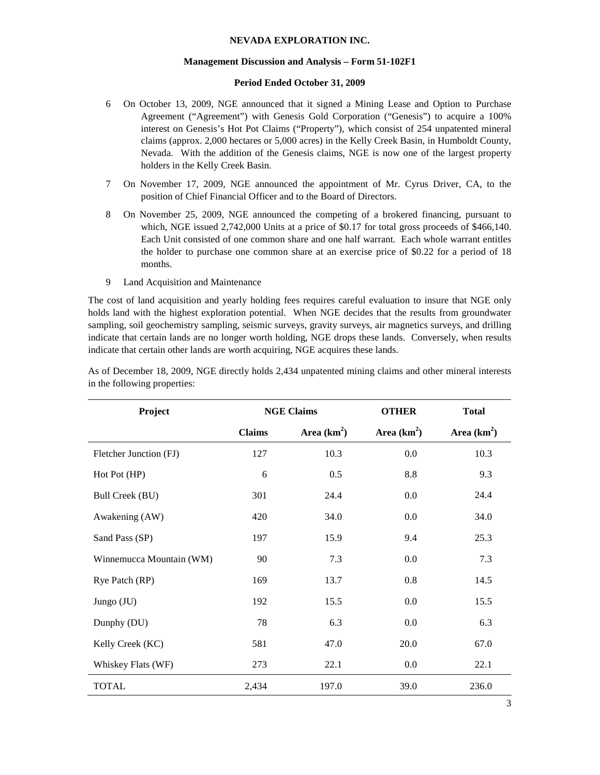## **Management Discussion and Analysis – Form 51-102F1**

# **Period Ended October 31, 2009**

- 6 On October 13, 2009, NGE announced that it signed a Mining Lease and Option to Purchase Agreement ("Agreement") with Genesis Gold Corporation ("Genesis") to acquire a 100% interest on Genesis's Hot Pot Claims ("Property"), which consist of 254 unpatented mineral claims (approx. 2,000 hectares or 5,000 acres) in the Kelly Creek Basin, in Humboldt County, Nevada. With the addition of the Genesis claims, NGE is now one of the largest property holders in the Kelly Creek Basin.
- 7 On November 17, 2009, NGE announced the appointment of Mr. Cyrus Driver, CA, to the position of Chief Financial Officer and to the Board of Directors.
- 8 On November 25, 2009, NGE announced the competing of a brokered financing, pursuant to which, NGE issued 2,742,000 Units at a price of \$0.17 for total gross proceeds of \$466,140. Each Unit consisted of one common share and one half warrant. Each whole warrant entitles the holder to purchase one common share at an exercise price of \$0.22 for a period of 18 months.
- 9 Land Acquisition and Maintenance

The cost of land acquisition and yearly holding fees requires careful evaluation to insure that NGE only holds land with the highest exploration potential. When NGE decides that the results from groundwater sampling, soil geochemistry sampling, seismic surveys, gravity surveys, air magnetics surveys, and drilling indicate that certain lands are no longer worth holding, NGE drops these lands. Conversely, when results indicate that certain other lands are worth acquiring, NGE acquires these lands.

| Project                  | <b>NGE Claims</b> |               | <b>OTHER</b>  | <b>Total</b>  |
|--------------------------|-------------------|---------------|---------------|---------------|
|                          | <b>Claims</b>     | Area $(km^2)$ | Area $(km^2)$ | Area $(km^2)$ |
| Fletcher Junction (FJ)   | 127               | 10.3          | 0.0           | 10.3          |
| Hot Pot (HP)             | 6                 | 0.5           | 8.8           | 9.3           |
| <b>Bull Creek (BU)</b>   | 301               | 24.4          | $0.0\,$       | 24.4          |
| Awakening (AW)           | 420               | 34.0          | 0.0           | 34.0          |
| Sand Pass (SP)           | 197               | 15.9          | 9.4           | 25.3          |
| Winnemucca Mountain (WM) | 90                | 7.3           | $0.0\,$       | 7.3           |
| Rye Patch (RP)           | 169               | 13.7          | 0.8           | 14.5          |
| Jungo (JU)               | 192               | 15.5          | 0.0           | 15.5          |
| Dunphy (DU)              | 78                | 6.3           | 0.0           | 6.3           |
| Kelly Creek (KC)         | 581               | 47.0          | 20.0          | 67.0          |
| Whiskey Flats (WF)       | 273               | 22.1          | $0.0\,$       | 22.1          |
| <b>TOTAL</b>             | 2,434             | 197.0         | 39.0          | 236.0         |

As of December 18, 2009, NGE directly holds 2,434 unpatented mining claims and other mineral interests in the following properties: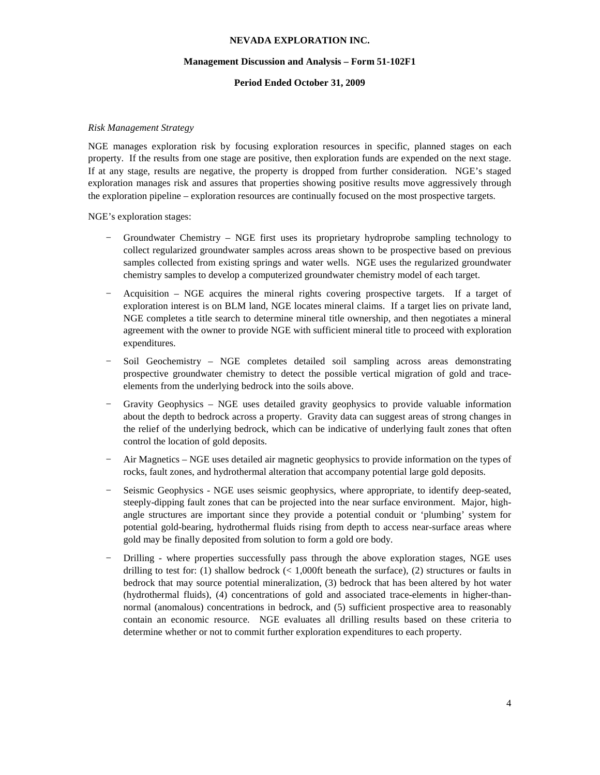#### **Management Discussion and Analysis – Form 51-102F1**

#### **Period Ended October 31, 2009**

#### *Risk Management Strategy*

NGE manages exploration risk by focusing exploration resources in specific, planned stages on each property. If the results from one stage are positive, then exploration funds are expended on the next stage. If at any stage, results are negative, the property is dropped from further consideration. NGE's staged exploration manages risk and assures that properties showing positive results move aggressively through the exploration pipeline – exploration resources are continually focused on the most prospective targets.

NGE's exploration stages:

- − Groundwater Chemistry NGE first uses its proprietary hydroprobe sampling technology to collect regularized groundwater samples across areas shown to be prospective based on previous samples collected from existing springs and water wells. NGE uses the regularized groundwater chemistry samples to develop a computerized groundwater chemistry model of each target.
- − Acquisition NGE acquires the mineral rights covering prospective targets. If a target of exploration interest is on BLM land, NGE locates mineral claims. If a target lies on private land, NGE completes a title search to determine mineral title ownership, and then negotiates a mineral agreement with the owner to provide NGE with sufficient mineral title to proceed with exploration expenditures.
- − Soil Geochemistry NGE completes detailed soil sampling across areas demonstrating prospective groundwater chemistry to detect the possible vertical migration of gold and traceelements from the underlying bedrock into the soils above.
- Gravity Geophysics NGE uses detailed gravity geophysics to provide valuable information about the depth to bedrock across a property. Gravity data can suggest areas of strong changes in the relief of the underlying bedrock, which can be indicative of underlying fault zones that often control the location of gold deposits.
- − Air Magnetics NGE uses detailed air magnetic geophysics to provide information on the types of rocks, fault zones, and hydrothermal alteration that accompany potential large gold deposits.
- Seismic Geophysics NGE uses seismic geophysics, where appropriate, to identify deep-seated, steeply-dipping fault zones that can be projected into the near surface environment. Major, highangle structures are important since they provide a potential conduit or 'plumbing' system for potential gold-bearing, hydrothermal fluids rising from depth to access near-surface areas where gold may be finally deposited from solution to form a gold ore body.
- Drilling where properties successfully pass through the above exploration stages, NGE uses drilling to test for: (1) shallow bedrock  $($  1,000ft beneath the surface), (2) structures or faults in bedrock that may source potential mineralization, (3) bedrock that has been altered by hot water (hydrothermal fluids), (4) concentrations of gold and associated trace-elements in higher-thannormal (anomalous) concentrations in bedrock, and (5) sufficient prospective area to reasonably contain an economic resource. NGE evaluates all drilling results based on these criteria to determine whether or not to commit further exploration expenditures to each property.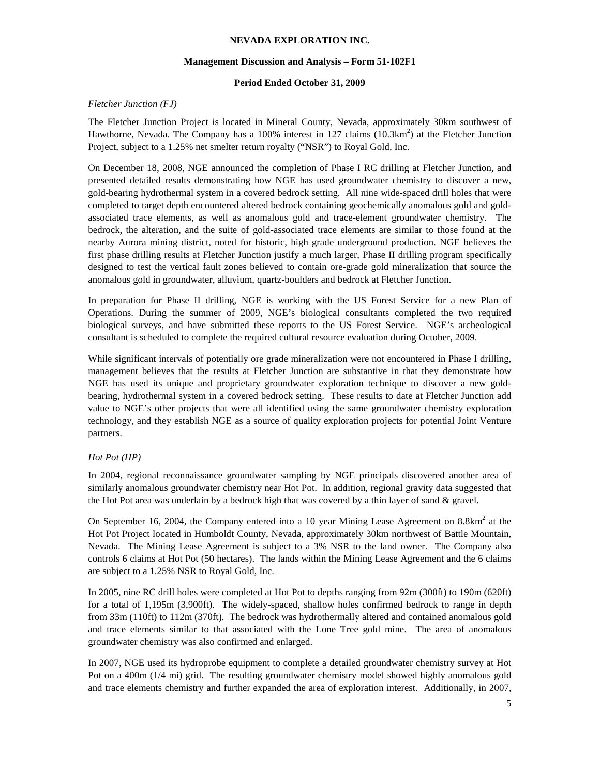## **Management Discussion and Analysis – Form 51-102F1**

# **Period Ended October 31, 2009**

# *Fletcher Junction (FJ)*

The Fletcher Junction Project is located in Mineral County, Nevada, approximately 30km southwest of Hawthorne, Nevada. The Company has a 100% interest in 127 claims  $(10.3 \text{km}^2)$  at the Fletcher Junction Project, subject to a 1.25% net smelter return royalty ("NSR") to Royal Gold, Inc.

On December 18, 2008, NGE announced the completion of Phase I RC drilling at Fletcher Junction, and presented detailed results demonstrating how NGE has used groundwater chemistry to discover a new, gold-bearing hydrothermal system in a covered bedrock setting. All nine wide-spaced drill holes that were completed to target depth encountered altered bedrock containing geochemically anomalous gold and goldassociated trace elements, as well as anomalous gold and trace-element groundwater chemistry. The bedrock, the alteration, and the suite of gold-associated trace elements are similar to those found at the nearby Aurora mining district, noted for historic, high grade underground production. NGE believes the first phase drilling results at Fletcher Junction justify a much larger, Phase II drilling program specifically designed to test the vertical fault zones believed to contain ore-grade gold mineralization that source the anomalous gold in groundwater, alluvium, quartz-boulders and bedrock at Fletcher Junction.

In preparation for Phase II drilling, NGE is working with the US Forest Service for a new Plan of Operations. During the summer of 2009, NGE's biological consultants completed the two required biological surveys, and have submitted these reports to the US Forest Service. NGE's archeological consultant is scheduled to complete the required cultural resource evaluation during October, 2009.

While significant intervals of potentially ore grade mineralization were not encountered in Phase I drilling, management believes that the results at Fletcher Junction are substantive in that they demonstrate how NGE has used its unique and proprietary groundwater exploration technique to discover a new goldbearing, hydrothermal system in a covered bedrock setting. These results to date at Fletcher Junction add value to NGE's other projects that were all identified using the same groundwater chemistry exploration technology, and they establish NGE as a source of quality exploration projects for potential Joint Venture partners.

# *Hot Pot (HP)*

In 2004, regional reconnaissance groundwater sampling by NGE principals discovered another area of similarly anomalous groundwater chemistry near Hot Pot. In addition, regional gravity data suggested that the Hot Pot area was underlain by a bedrock high that was covered by a thin layer of sand  $\&$  gravel.

On September 16, 2004, the Company entered into a 10 year Mining Lease Agreement on  $8.8 \text{km}^2$  at the Hot Pot Project located in Humboldt County, Nevada, approximately 30km northwest of Battle Mountain, Nevada. The Mining Lease Agreement is subject to a 3% NSR to the land owner. The Company also controls 6 claims at Hot Pot (50 hectares). The lands within the Mining Lease Agreement and the 6 claims are subject to a 1.25% NSR to Royal Gold, Inc.

In 2005, nine RC drill holes were completed at Hot Pot to depths ranging from 92m (300ft) to 190m (620ft) for a total of 1,195m (3,900ft). The widely-spaced, shallow holes confirmed bedrock to range in depth from 33m (110ft) to 112m (370ft). The bedrock was hydrothermally altered and contained anomalous gold and trace elements similar to that associated with the Lone Tree gold mine. The area of anomalous groundwater chemistry was also confirmed and enlarged.

In 2007, NGE used its hydroprobe equipment to complete a detailed groundwater chemistry survey at Hot Pot on a 400m (1/4 mi) grid. The resulting groundwater chemistry model showed highly anomalous gold and trace elements chemistry and further expanded the area of exploration interest. Additionally, in 2007,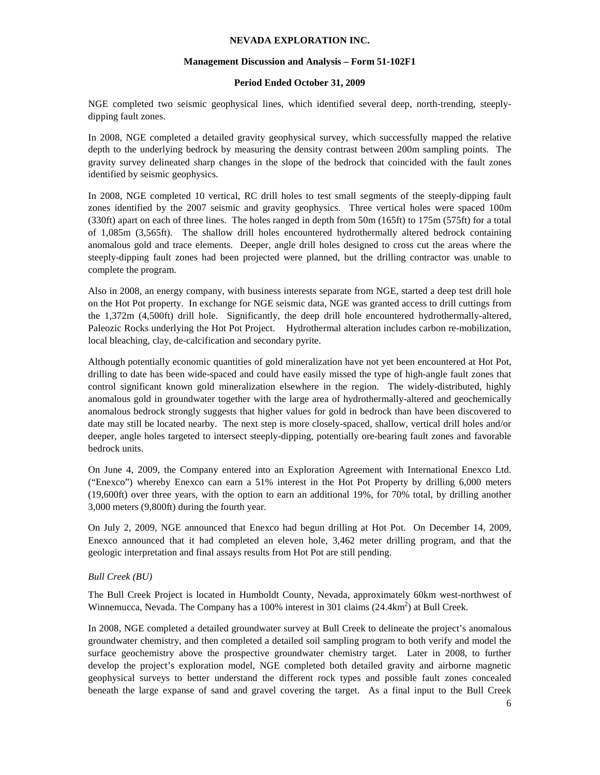## **Management Discussion and Analysis – Form 51-102F1**

# **Period Ended October 31, 2009**

NGE completed two seismic geophysical lines, which identified several deep, north-trending, steeplydipping fault zones.

In 2008, NGE completed a detailed gravity geophysical survey, which successfully mapped the relative depth to the underlying bedrock by measuring the density contrast between 200m sampling points. The gravity survey delineated sharp changes in the slope of the bedrock that coincided with the fault zones identified by seismic geophysics.

In 2008, NGE completed 10 vertical, RC drill holes to test small segments of the steeply-dipping fault zones identified by the 2007 seismic and gravity geophysics. Three vertical holes were spaced 100m (330ft) apart on each of three lines. The holes ranged in depth from 50m (165ft) to 175m (575ft) for a total of 1,085m (3,565ft). The shallow drill holes encountered hydrothermally altered bedrock containing anomalous gold and trace elements. Deeper, angle drill holes designed to cross cut the areas where the steeply-dipping fault zones had been projected were planned, but the drilling contractor was unable to complete the program.

Also in 2008, an energy company, with business interests separate from NGE, started a deep test drill hole on the Hot Pot property. In exchange for NGE seismic data, NGE was granted access to drill cuttings from the 1,372m (4,500ft) drill hole. Significantly, the deep drill hole encountered hydrothermally-altered, Paleozic Rocks underlying the Hot Pot Project. Hydrothermal alteration includes carbon re-mobilization, local bleaching, clay, de-calcification and secondary pyrite.

Although potentially economic quantities of gold mineralization have not yet been encountered at Hot Pot, drilling to date has been wide-spaced and could have easily missed the type of high-angle fault zones that control significant known gold mineralization elsewhere in the region. The widely-distributed, highly anomalous gold in groundwater together with the large area of hydrothermally-altered and geochemically anomalous bedrock strongly suggests that higher values for gold in bedrock than have been discovered to date may still be located nearby. The next step is more closely-spaced, shallow, vertical drill holes and/or deeper, angle holes targeted to intersect steeply-dipping, potentially ore-bearing fault zones and favorable bedrock units.

On June 4, 2009, the Company entered into an Exploration Agreement with International Enexco Ltd. ("Enexco") whereby Enexco can earn a 51% interest in the Hot Pot Property by drilling 6,000 meters (19,600ft) over three years, with the option to earn an additional 19%, for 70% total, by drilling another 3,000 meters (9,800ft) during the fourth year.

On July 2, 2009, NGE announced that Enexco had begun drilling at Hot Pot. On December 14, 2009, Enexco announced that it had completed an eleven hole, 3,462 meter drilling program, and that the geologic interpretation and final assays results from Hot Pot are still pending.

# *Bull Creek (BU)*

The Bull Creek Project is located in Humboldt County, Nevada, approximately 60km west-northwest of Winnemucca, Nevada. The Company has a 100% interest in 301 claims  $(24.4 \text{km}^2)$  at Bull Creek.

In 2008, NGE completed a detailed groundwater survey at Bull Creek to delineate the project's anomalous groundwater chemistry, and then completed a detailed soil sampling program to both verify and model the surface geochemistry above the prospective groundwater chemistry target. Later in 2008, to further develop the project's exploration model, NGE completed both detailed gravity and airborne magnetic geophysical surveys to better understand the different rock types and possible fault zones concealed beneath the large expanse of sand and gravel covering the target. As a final input to the Bull Creek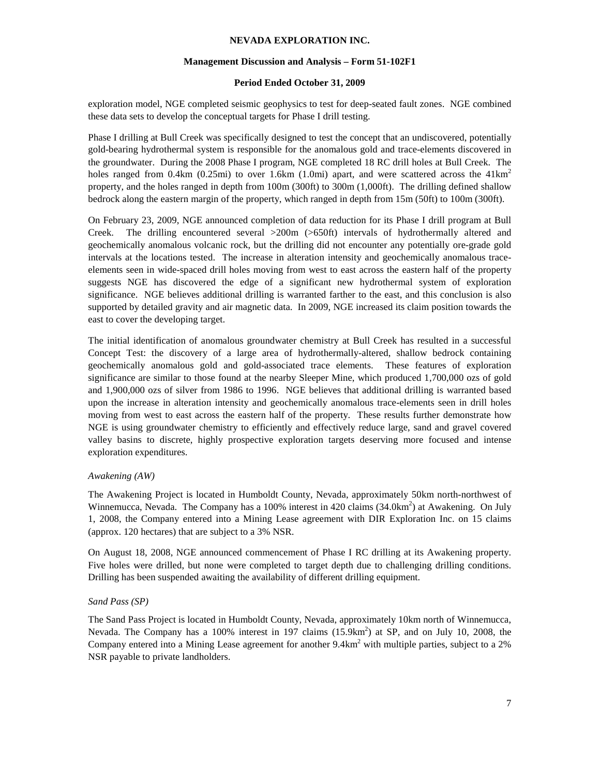## **Management Discussion and Analysis – Form 51-102F1**

# **Period Ended October 31, 2009**

exploration model, NGE completed seismic geophysics to test for deep-seated fault zones. NGE combined these data sets to develop the conceptual targets for Phase I drill testing.

Phase I drilling at Bull Creek was specifically designed to test the concept that an undiscovered, potentially gold-bearing hydrothermal system is responsible for the anomalous gold and trace-elements discovered in the groundwater. During the 2008 Phase I program, NGE completed 18 RC drill holes at Bull Creek. The holes ranged from 0.4km (0.25mi) to over 1.6km (1.0mi) apart, and were scattered across the 41km<sup>2</sup> property, and the holes ranged in depth from 100m (300ft) to 300m (1,000ft). The drilling defined shallow bedrock along the eastern margin of the property, which ranged in depth from 15m (50ft) to 100m (300ft).

On February 23, 2009, NGE announced completion of data reduction for its Phase I drill program at Bull Creek. The drilling encountered several >200m (>650ft) intervals of hydrothermally altered and geochemically anomalous volcanic rock, but the drilling did not encounter any potentially ore-grade gold intervals at the locations tested. The increase in alteration intensity and geochemically anomalous traceelements seen in wide-spaced drill holes moving from west to east across the eastern half of the property suggests NGE has discovered the edge of a significant new hydrothermal system of exploration significance. NGE believes additional drilling is warranted farther to the east, and this conclusion is also supported by detailed gravity and air magnetic data. In 2009, NGE increased its claim position towards the east to cover the developing target.

The initial identification of anomalous groundwater chemistry at Bull Creek has resulted in a successful Concept Test: the discovery of a large area of hydrothermally-altered, shallow bedrock containing geochemically anomalous gold and gold-associated trace elements. These features of exploration significance are similar to those found at the nearby Sleeper Mine, which produced 1,700,000 ozs of gold and 1,900,000 ozs of silver from 1986 to 1996. NGE believes that additional drilling is warranted based upon the increase in alteration intensity and geochemically anomalous trace-elements seen in drill holes moving from west to east across the eastern half of the property. These results further demonstrate how NGE is using groundwater chemistry to efficiently and effectively reduce large, sand and gravel covered valley basins to discrete, highly prospective exploration targets deserving more focused and intense exploration expenditures.

# *Awakening (AW)*

The Awakening Project is located in Humboldt County, Nevada, approximately 50km north-northwest of Winnemucca, Nevada. The Company has a 100% interest in 420 claims  $(34.0 \text{km}^2)$  at Awakening. On July 1, 2008, the Company entered into a Mining Lease agreement with DIR Exploration Inc. on 15 claims (approx. 120 hectares) that are subject to a 3% NSR.

On August 18, 2008, NGE announced commencement of Phase I RC drilling at its Awakening property. Five holes were drilled, but none were completed to target depth due to challenging drilling conditions. Drilling has been suspended awaiting the availability of different drilling equipment.

# *Sand Pass (SP)*

The Sand Pass Project is located in Humboldt County, Nevada, approximately 10km north of Winnemucca, Nevada. The Company has a 100% interest in 197 claims  $(15.9 \text{km}^2)$  at SP, and on July 10, 2008, the Company entered into a Mining Lease agreement for another  $9.4 \text{km}^2$  with multiple parties, subject to a 2% NSR payable to private landholders.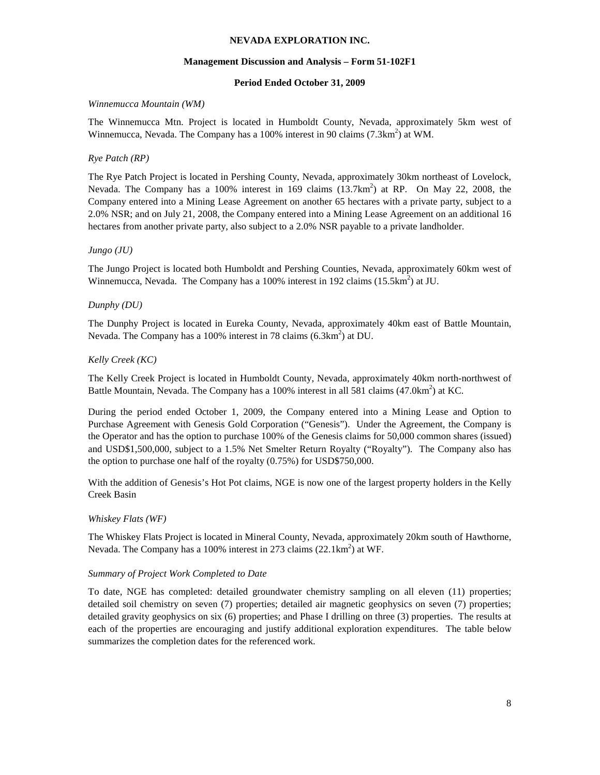## **Management Discussion and Analysis – Form 51-102F1**

# **Period Ended October 31, 2009**

## *Winnemucca Mountain (WM)*

The Winnemucca Mtn. Project is located in Humboldt County, Nevada, approximately 5km west of Winnemucca, Nevada. The Company has a 100% interest in 90 claims  $(7.3 \text{km}^2)$  at WM.

# *Rye Patch (RP)*

The Rye Patch Project is located in Pershing County, Nevada, approximately 30km northeast of Lovelock, Nevada. The Company has a 100% interest in 169 claims  $(13.7 \text{km}^2)$  at RP. On May 22, 2008, the Company entered into a Mining Lease Agreement on another 65 hectares with a private party, subject to a 2.0% NSR; and on July 21, 2008, the Company entered into a Mining Lease Agreement on an additional 16 hectares from another private party, also subject to a 2.0% NSR payable to a private landholder.

# *Jungo (JU)*

The Jungo Project is located both Humboldt and Pershing Counties, Nevada, approximately 60km west of Winnemucca, Nevada. The Company has a 100% interest in 192 claims  $(15.5 \text{km}^2)$  at JU.

# *Dunphy (DU)*

The Dunphy Project is located in Eureka County, Nevada, approximately 40km east of Battle Mountain, Nevada. The Company has a 100% interest in 78 claims  $(6.3 \text{km}^2)$  at DU.

# *Kelly Creek (KC)*

The Kelly Creek Project is located in Humboldt County, Nevada, approximately 40km north-northwest of Battle Mountain, Nevada. The Company has a 100% interest in all 581 claims  $(47.0 \text{km}^2)$  at KC.

During the period ended October 1, 2009, the Company entered into a Mining Lease and Option to Purchase Agreement with Genesis Gold Corporation ("Genesis"). Under the Agreement, the Company is the Operator and has the option to purchase 100% of the Genesis claims for 50,000 common shares (issued) and USD\$1,500,000, subject to a 1.5% Net Smelter Return Royalty ("Royalty"). The Company also has the option to purchase one half of the royalty (0.75%) for USD\$750,000.

With the addition of Genesis's Hot Pot claims, NGE is now one of the largest property holders in the Kelly Creek Basin

### *Whiskey Flats (WF)*

The Whiskey Flats Project is located in Mineral County, Nevada, approximately 20km south of Hawthorne, Nevada. The Company has a 100% interest in 273 claims  $(22.1 \text{km}^2)$  at WF.

### *Summary of Project Work Completed to Date*

To date, NGE has completed: detailed groundwater chemistry sampling on all eleven (11) properties; detailed soil chemistry on seven (7) properties; detailed air magnetic geophysics on seven (7) properties; detailed gravity geophysics on six (6) properties; and Phase I drilling on three (3) properties. The results at each of the properties are encouraging and justify additional exploration expenditures. The table below summarizes the completion dates for the referenced work.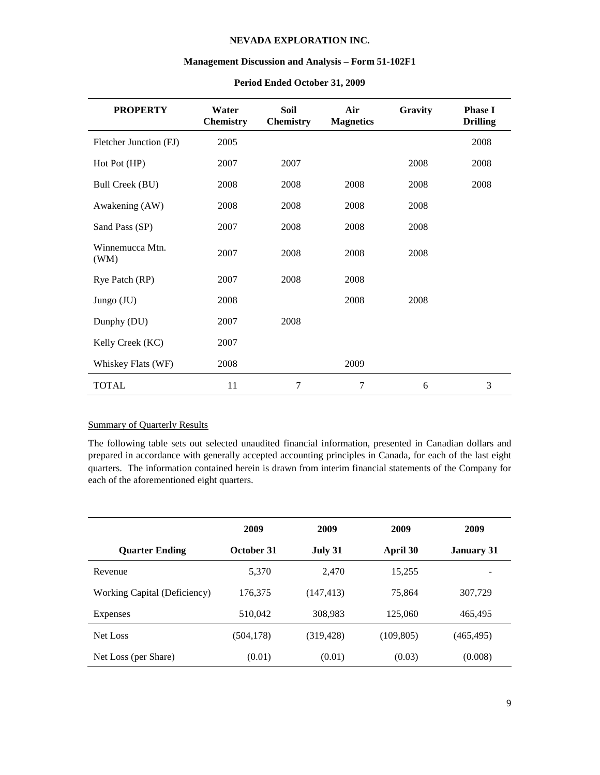### **Management Discussion and Analysis – Form 51-102F1**

| <b>PROPERTY</b>         | Water<br><b>Chemistry</b> | Soil<br><b>Chemistry</b> | Air<br><b>Magnetics</b> | Gravity | <b>Phase I</b><br><b>Drilling</b> |
|-------------------------|---------------------------|--------------------------|-------------------------|---------|-----------------------------------|
| Fletcher Junction (FJ)  | 2005                      |                          |                         |         | 2008                              |
| Hot Pot (HP)            | 2007                      | 2007                     |                         | 2008    | 2008                              |
| Bull Creek (BU)         | 2008                      | 2008                     | 2008                    | 2008    | 2008                              |
| Awakening (AW)          | 2008                      | 2008                     | 2008                    | 2008    |                                   |
| Sand Pass (SP)          | 2007                      | 2008                     | 2008                    | 2008    |                                   |
| Winnemucca Mtn.<br>(WM) | 2007                      | 2008                     | 2008                    | 2008    |                                   |
| Rye Patch (RP)          | 2007                      | 2008                     | 2008                    |         |                                   |
| Jungo (JU)              | 2008                      |                          | 2008                    | 2008    |                                   |
| Dunphy (DU)             | 2007                      | 2008                     |                         |         |                                   |
| Kelly Creek (KC)        | 2007                      |                          |                         |         |                                   |
| Whiskey Flats (WF)      | 2008                      |                          | 2009                    |         |                                   |
| <b>TOTAL</b>            | 11                        | 7                        | 7                       | 6       | 3                                 |

# **Period Ended October 31, 2009**

# Summary of Quarterly Results

The following table sets out selected unaudited financial information, presented in Canadian dollars and prepared in accordance with generally accepted accounting principles in Canada, for each of the last eight quarters. The information contained herein is drawn from interim financial statements of the Company for each of the aforementioned eight quarters.

|                              | 2009       | 2009       | 2009       | 2009              |
|------------------------------|------------|------------|------------|-------------------|
| <b>Quarter Ending</b>        | October 31 | July 31    | April 30   | <b>January 31</b> |
| Revenue                      | 5,370      | 2.470      | 15,255     |                   |
| Working Capital (Deficiency) | 176.375    | (147, 413) | 75,864     | 307,729           |
| Expenses                     | 510,042    | 308,983    | 125,060    | 465,495           |
| Net Loss                     | (504, 178) | (319, 428) | (109, 805) | (465, 495)        |
| Net Loss (per Share)         | (0.01)     | (0.01)     | (0.03)     | (0.008)           |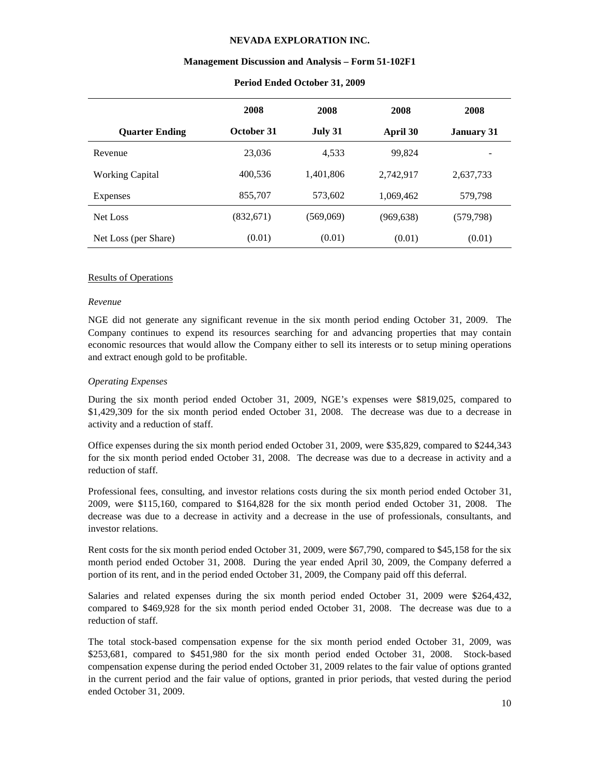#### **Management Discussion and Analysis – Form 51-102F1**

|                        | 2008       | 2008      | 2008       | 2008              |
|------------------------|------------|-----------|------------|-------------------|
| <b>Quarter Ending</b>  | October 31 | July 31   | April 30   | <b>January 31</b> |
| Revenue                | 23,036     | 4.533     | 99.824     | -                 |
| <b>Working Capital</b> | 400,536    | 1,401,806 | 2,742,917  | 2,637,733         |
| Expenses               | 855,707    | 573,602   | 1,069,462  | 579,798           |
| Net Loss               | (832,671)  | (569,069) | (969, 638) | (579,798)         |
| Net Loss (per Share)   | (0.01)     | (0.01)    | (0.01)     | (0.01)            |

#### **Period Ended October 31, 2009**

### Results of Operations

#### *Revenue*

NGE did not generate any significant revenue in the six month period ending October 31, 2009. The Company continues to expend its resources searching for and advancing properties that may contain economic resources that would allow the Company either to sell its interests or to setup mining operations and extract enough gold to be profitable.

## *Operating Expenses*

During the six month period ended October 31, 2009, NGE's expenses were \$819,025, compared to \$1,429,309 for the six month period ended October 31, 2008. The decrease was due to a decrease in activity and a reduction of staff.

Office expenses during the six month period ended October 31, 2009, were \$35,829, compared to \$244,343 for the six month period ended October 31, 2008. The decrease was due to a decrease in activity and a reduction of staff.

Professional fees, consulting, and investor relations costs during the six month period ended October 31, 2009, were \$115,160, compared to \$164,828 for the six month period ended October 31, 2008. The decrease was due to a decrease in activity and a decrease in the use of professionals, consultants, and investor relations.

Rent costs for the six month period ended October 31, 2009, were \$67,790, compared to \$45,158 for the six month period ended October 31, 2008. During the year ended April 30, 2009, the Company deferred a portion of its rent, and in the period ended October 31, 2009, the Company paid off this deferral.

Salaries and related expenses during the six month period ended October 31, 2009 were \$264,432, compared to \$469,928 for the six month period ended October 31, 2008. The decrease was due to a reduction of staff.

The total stock-based compensation expense for the six month period ended October 31, 2009, was \$253,681, compared to \$451,980 for the six month period ended October 31, 2008. Stock-based compensation expense during the period ended October 31, 2009 relates to the fair value of options granted in the current period and the fair value of options, granted in prior periods, that vested during the period ended October 31, 2009.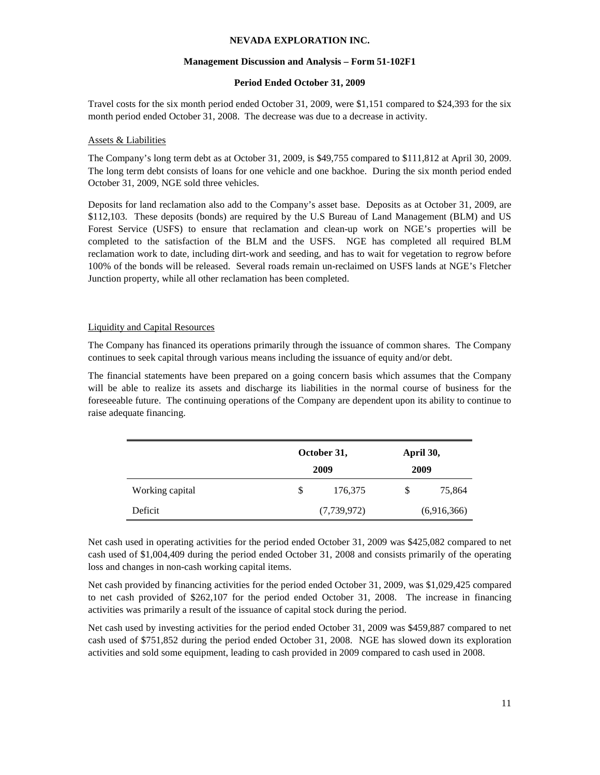## **Management Discussion and Analysis – Form 51-102F1**

# **Period Ended October 31, 2009**

Travel costs for the six month period ended October 31, 2009, were \$1,151 compared to \$24,393 for the six month period ended October 31, 2008. The decrease was due to a decrease in activity.

# Assets & Liabilities

The Company's long term debt as at October 31, 2009, is \$49,755 compared to \$111,812 at April 30, 2009. The long term debt consists of loans for one vehicle and one backhoe. During the six month period ended October 31, 2009, NGE sold three vehicles.

Deposits for land reclamation also add to the Company's asset base. Deposits as at October 31, 2009, are \$112,103. These deposits (bonds) are required by the U.S Bureau of Land Management (BLM) and US Forest Service (USFS) to ensure that reclamation and clean-up work on NGE's properties will be completed to the satisfaction of the BLM and the USFS. NGE has completed all required BLM reclamation work to date, including dirt-work and seeding, and has to wait for vegetation to regrow before 100% of the bonds will be released. Several roads remain un-reclaimed on USFS lands at NGE's Fletcher Junction property, while all other reclamation has been completed.

# Liquidity and Capital Resources

The Company has financed its operations primarily through the issuance of common shares. The Company continues to seek capital through various means including the issuance of equity and/or debt.

The financial statements have been prepared on a going concern basis which assumes that the Company will be able to realize its assets and discharge its liabilities in the normal course of business for the foreseeable future. The continuing operations of the Company are dependent upon its ability to continue to raise adequate financing.

|                 | October 31,<br>2009 | April 30,<br>2009 |
|-----------------|---------------------|-------------------|
| Working capital | \$<br>176,375       | \$<br>75,864      |
| Deficit         | (7,739,972)         | (6,916,366)       |

Net cash used in operating activities for the period ended October 31, 2009 was \$425,082 compared to net cash used of \$1,004,409 during the period ended October 31, 2008 and consists primarily of the operating loss and changes in non-cash working capital items.

Net cash provided by financing activities for the period ended October 31, 2009, was \$1,029,425 compared to net cash provided of \$262,107 for the period ended October 31, 2008. The increase in financing activities was primarily a result of the issuance of capital stock during the period.

Net cash used by investing activities for the period ended October 31, 2009 was \$459,887 compared to net cash used of \$751,852 during the period ended October 31, 2008. NGE has slowed down its exploration activities and sold some equipment, leading to cash provided in 2009 compared to cash used in 2008.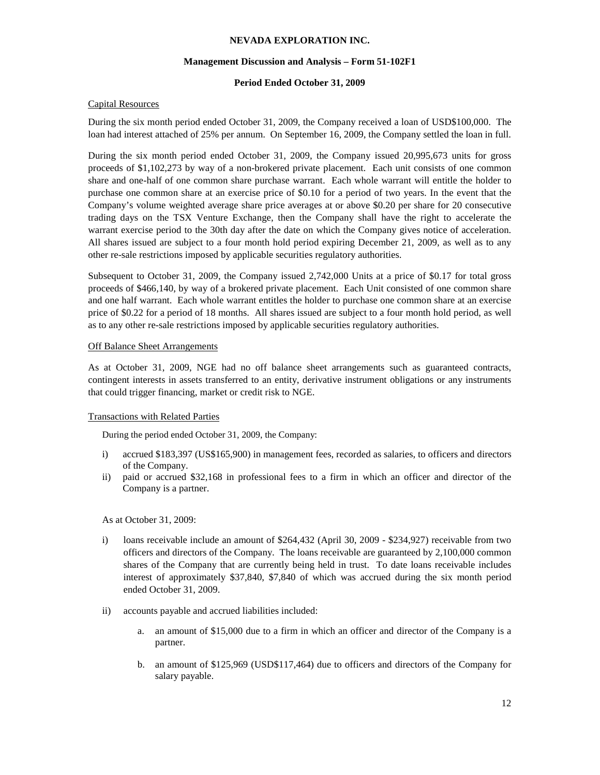## **Management Discussion and Analysis – Form 51-102F1**

# **Period Ended October 31, 2009**

# Capital Resources

During the six month period ended October 31, 2009, the Company received a loan of USD\$100,000. The loan had interest attached of 25% per annum. On September 16, 2009, the Company settled the loan in full.

During the six month period ended October 31, 2009, the Company issued 20,995,673 units for gross proceeds of \$1,102,273 by way of a non-brokered private placement. Each unit consists of one common share and one-half of one common share purchase warrant. Each whole warrant will entitle the holder to purchase one common share at an exercise price of \$0.10 for a period of two years. In the event that the Company's volume weighted average share price averages at or above \$0.20 per share for 20 consecutive trading days on the TSX Venture Exchange, then the Company shall have the right to accelerate the warrant exercise period to the 30th day after the date on which the Company gives notice of acceleration. All shares issued are subject to a four month hold period expiring December 21, 2009, as well as to any other re-sale restrictions imposed by applicable securities regulatory authorities.

Subsequent to October 31, 2009, the Company issued 2,742,000 Units at a price of \$0.17 for total gross proceeds of \$466,140, by way of a brokered private placement. Each Unit consisted of one common share and one half warrant. Each whole warrant entitles the holder to purchase one common share at an exercise price of \$0.22 for a period of 18 months. All shares issued are subject to a four month hold period, as well as to any other re-sale restrictions imposed by applicable securities regulatory authorities.

### Off Balance Sheet Arrangements

As at October 31, 2009, NGE had no off balance sheet arrangements such as guaranteed contracts, contingent interests in assets transferred to an entity, derivative instrument obligations or any instruments that could trigger financing, market or credit risk to NGE.

# Transactions with Related Parties

During the period ended October 31, 2009, the Company:

- i) accrued \$183,397 (US\$165,900) in management fees, recorded as salaries, to officers and directors of the Company.
- ii) paid or accrued \$32,168 in professional fees to a firm in which an officer and director of the Company is a partner.

As at October 31, 2009:

- i) loans receivable include an amount of \$264,432 (April 30, 2009 \$234,927) receivable from two officers and directors of the Company. The loans receivable are guaranteed by 2,100,000 common shares of the Company that are currently being held in trust. To date loans receivable includes interest of approximately \$37,840, \$7,840 of which was accrued during the six month period ended October 31, 2009.
- ii) accounts payable and accrued liabilities included:
	- a. an amount of \$15,000 due to a firm in which an officer and director of the Company is a partner.
	- b. an amount of \$125,969 (USD\$117,464) due to officers and directors of the Company for salary payable.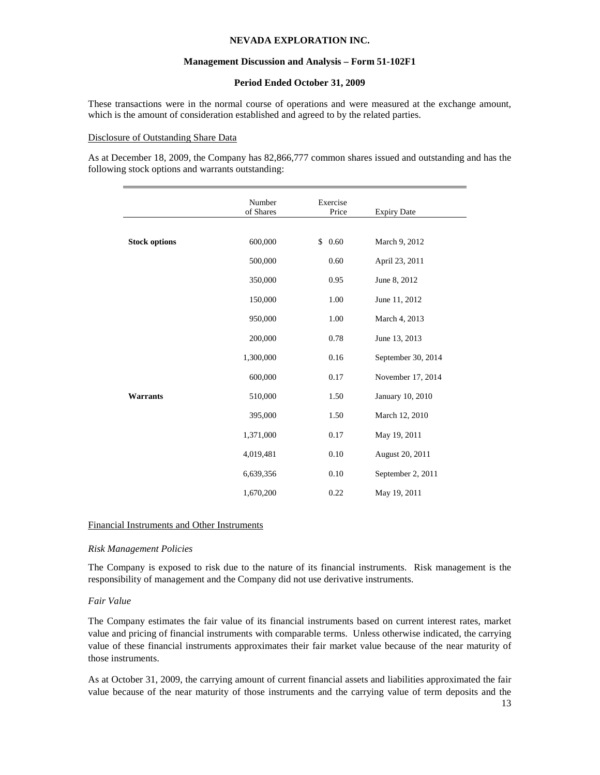### **Management Discussion and Analysis – Form 51-102F1**

#### **Period Ended October 31, 2009**

These transactions were in the normal course of operations and were measured at the exchange amount, which is the amount of consideration established and agreed to by the related parties.

#### Disclosure of Outstanding Share Data

As at December 18, 2009, the Company has 82,866,777 common shares issued and outstanding and has the following stock options and warrants outstanding:

|                      | Number<br>of Shares | Exercise<br>Price | <b>Expiry Date</b> |
|----------------------|---------------------|-------------------|--------------------|
|                      |                     |                   |                    |
| <b>Stock options</b> | 600,000             | 0.60<br>\$        | March 9, 2012      |
|                      | 500,000             | 0.60              | April 23, 2011     |
|                      | 350,000             | 0.95              | June 8, 2012       |
|                      | 150,000             | $1.00\,$          | June 11, 2012      |
|                      | 950,000             | 1.00              | March 4, 2013      |
|                      | 200,000             | 0.78              | June 13, 2013      |
|                      | 1,300,000           | $0.16\,$          | September 30, 2014 |
|                      | 600,000             | 0.17              | November 17, 2014  |
| <b>Warrants</b>      | 510,000             | 1.50              | January 10, 2010   |
|                      | 395,000             | 1.50              | March 12, 2010     |
|                      | 1,371,000           | 0.17              | May 19, 2011       |
|                      | 4,019,481           | 0.10              | August 20, 2011    |
|                      | 6,639,356           | $0.10\,$          | September 2, 2011  |
|                      | 1,670,200           | 0.22              | May 19, 2011       |

# Financial Instruments and Other Instruments

#### *Risk Management Policies*

The Company is exposed to risk due to the nature of its financial instruments. Risk management is the responsibility of management and the Company did not use derivative instruments.

### *Fair Value*

The Company estimates the fair value of its financial instruments based on current interest rates, market value and pricing of financial instruments with comparable terms. Unless otherwise indicated, the carrying value of these financial instruments approximates their fair market value because of the near maturity of those instruments.

As at October 31, 2009, the carrying amount of current financial assets and liabilities approximated the fair value because of the near maturity of those instruments and the carrying value of term deposits and the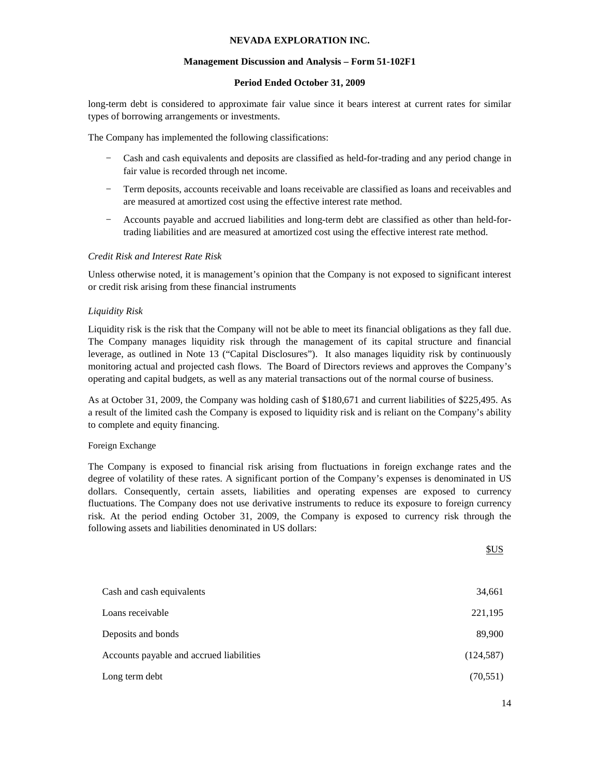## **Management Discussion and Analysis – Form 51-102F1**

# **Period Ended October 31, 2009**

long-term debt is considered to approximate fair value since it bears interest at current rates for similar types of borrowing arrangements or investments.

The Company has implemented the following classifications:

- − Cash and cash equivalents and deposits are classified as held-for-trading and any period change in fair value is recorded through net income.
- − Term deposits, accounts receivable and loans receivable are classified as loans and receivables and are measured at amortized cost using the effective interest rate method.
- − Accounts payable and accrued liabilities and long-term debt are classified as other than held-fortrading liabilities and are measured at amortized cost using the effective interest rate method.

# *Credit Risk and Interest Rate Risk*

Unless otherwise noted, it is management's opinion that the Company is not exposed to significant interest or credit risk arising from these financial instruments

# *Liquidity Risk*

Liquidity risk is the risk that the Company will not be able to meet its financial obligations as they fall due. The Company manages liquidity risk through the management of its capital structure and financial leverage, as outlined in Note 13 ("Capital Disclosures"). It also manages liquidity risk by continuously monitoring actual and projected cash flows. The Board of Directors reviews and approves the Company's operating and capital budgets, as well as any material transactions out of the normal course of business.

As at October 31, 2009, the Company was holding cash of \$180,671 and current liabilities of \$225,495. As a result of the limited cash the Company is exposed to liquidity risk and is reliant on the Company's ability to complete and equity financing.

### Foreign Exchange

The Company is exposed to financial risk arising from fluctuations in foreign exchange rates and the degree of volatility of these rates. A significant portion of the Company's expenses is denominated in US dollars. Consequently, certain assets, liabilities and operating expenses are exposed to currency fluctuations. The Company does not use derivative instruments to reduce its exposure to foreign currency risk. At the period ending October 31, 2009, the Company is exposed to currency risk through the following assets and liabilities denominated in US dollars:

| Cash and cash equivalents                | 34,661     |
|------------------------------------------|------------|
| Loans receivable                         | 221,195    |
| Deposits and bonds                       | 89,900     |
| Accounts payable and accrued liabilities | (124, 587) |
| Long term debt                           | (70, 551)  |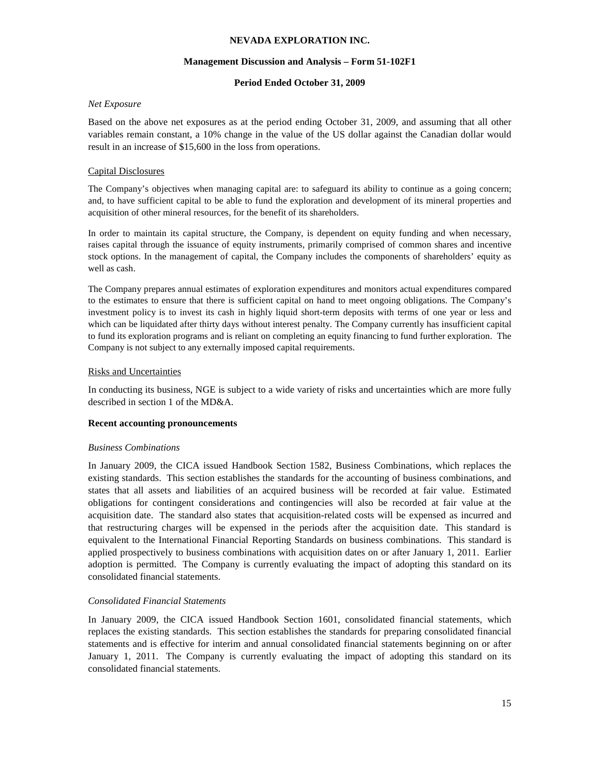## **Management Discussion and Analysis – Form 51-102F1**

# **Period Ended October 31, 2009**

## *Net Exposure*

Based on the above net exposures as at the period ending October 31, 2009, and assuming that all other variables remain constant, a 10% change in the value of the US dollar against the Canadian dollar would result in an increase of \$15,600 in the loss from operations.

# Capital Disclosures

The Company's objectives when managing capital are: to safeguard its ability to continue as a going concern; and, to have sufficient capital to be able to fund the exploration and development of its mineral properties and acquisition of other mineral resources, for the benefit of its shareholders.

In order to maintain its capital structure, the Company, is dependent on equity funding and when necessary, raises capital through the issuance of equity instruments, primarily comprised of common shares and incentive stock options. In the management of capital, the Company includes the components of shareholders' equity as well as cash.

The Company prepares annual estimates of exploration expenditures and monitors actual expenditures compared to the estimates to ensure that there is sufficient capital on hand to meet ongoing obligations. The Company's investment policy is to invest its cash in highly liquid short-term deposits with terms of one year or less and which can be liquidated after thirty days without interest penalty. The Company currently has insufficient capital to fund its exploration programs and is reliant on completing an equity financing to fund further exploration. The Company is not subject to any externally imposed capital requirements.

# Risks and Uncertainties

In conducting its business, NGE is subject to a wide variety of risks and uncertainties which are more fully described in section 1 of the MD&A.

### **Recent accounting pronouncements**

### *Business Combinations*

In January 2009, the CICA issued Handbook Section 1582, Business Combinations, which replaces the existing standards. This section establishes the standards for the accounting of business combinations, and states that all assets and liabilities of an acquired business will be recorded at fair value. Estimated obligations for contingent considerations and contingencies will also be recorded at fair value at the acquisition date. The standard also states that acquisition-related costs will be expensed as incurred and that restructuring charges will be expensed in the periods after the acquisition date. This standard is equivalent to the International Financial Reporting Standards on business combinations. This standard is applied prospectively to business combinations with acquisition dates on or after January 1, 2011. Earlier adoption is permitted. The Company is currently evaluating the impact of adopting this standard on its consolidated financial statements.

# *Consolidated Financial Statements*

In January 2009, the CICA issued Handbook Section 1601, consolidated financial statements, which replaces the existing standards. This section establishes the standards for preparing consolidated financial statements and is effective for interim and annual consolidated financial statements beginning on or after January 1, 2011. The Company is currently evaluating the impact of adopting this standard on its consolidated financial statements.